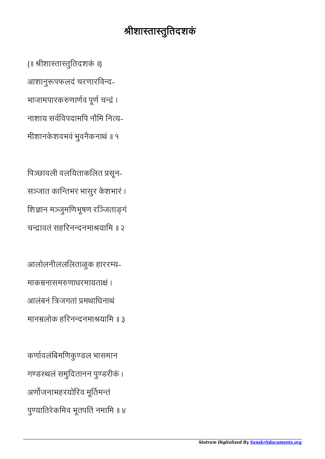## श्रीशास्तास्तुतिदशकं

{॥ ीशातातुितदशकं ॥} आशानुपफलदं चरणारिवद-भाजामपारकरुणार्णव पूर्ण चन्द्रं । नाशाय सविवपदामिप नौिम िनय-मीशानकेशवभवं भुवनैकनाथं ॥ १

िपछावली वलियताकिलत सून-सञ्जात कान्तिभर भासुर केशभारं । शिज्ञान मञ्जुमणिभूषण रञ्जिताङ्गं चन्द्रावतं सहरिनन्दनमाश्रयामि ॥ २

आलोलनीललिलताळुक हाररय-माकम्रनासमरुणाधरमायताक्षं । आलंबनं िजगतां मथािधनाथं मानम्रलोक हरिनन्दनमाश्रयामि ॥ ३

कर्णावलंबिमणिकुण्डल भासमान गण्डस्थलं समुदितानन पुण्डरीकं । अर्णोजनाभहरयोरिव मूर्तिमन्तं पुण्यातिरेकमिव भूतपतिं नमामि ॥ ४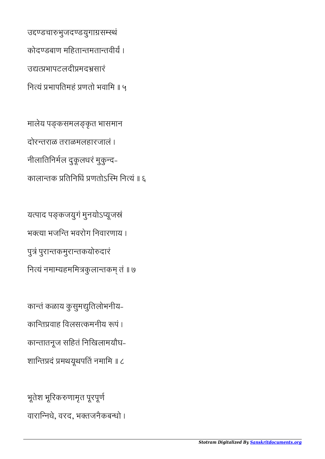भूतेश भूिरकणामृत पूरपूण वारािनधे, वरद, भतजनैकबधो ।

कान्तं कळाय कुसुमद्युतिलोभनीय-कान्तिप्रवाह विलसत्कमनीय रूपं । कातातनूज सिहतं िनिखलामयौघ-शान्तिप्रदं प्रमथयूथपतिं नमामि ॥ ८

यत्पाद पङ्कजयुगं मुनयोऽप्यूजस्रं भक्त्या भजन्ति भवरोग निवारणाय । पुत्रं पुरान्तकमुरान्तकयोरुदारं नित्यं नमाम्यहममित्रकुलान्तकम् तं ॥ ७

मालेय पङ्कसमलङ्कृत भासमान दोरतराळ तराळमलहारजालं । नीलातिनिर्मल दुकूलधरं मुकुन्द-कालान्तक प्रतिनिधिं प्रणतोऽस्मि नित्यं ॥ ६

उद्दण्डचारुभुजदण्डयुगाग्रसम्स्थं कोदण्डबाण महितान्तमतान्तवीर्यं । उद्यद्यभापटलदीप्रमदभ्रसारं िनयं भापितमहं णतो भवािम ॥ ५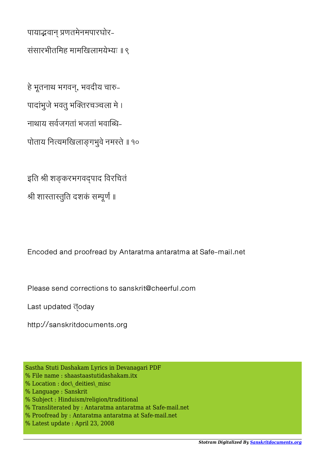पायाद्भवान प्रणतमेनमपारघोर-संसारभीतिमह मामिखलामयेयः ॥ ९

हे भूतनाथ भगवन्, भवदीय चारु-पादांभुजे भवतु भतरचचला मे । नाथाय सवजगतां भजतां भवाध-पोताय नित्यमखिलाङ्गभुवे नमस्ते ॥ १०

इति श्री शङ्करभगवद्पाद विरचितं श्री शास्तास्तुति दशकं सम्पूर्णं ॥

Encoded and proofread by Antaratma antaratma at Safe-mail.net

Please send corrections to sanskrit@cheerful.com

Last updated doday

http://sanskritdocuments.org

- Sastha Stuti Dashakam Lyrics in Devanagari PDF
- % File name : shaastaastutidashakam.itx
- % Location : doc\\_deities\\_misc
- % Language : Sanskrit
- % Subject : Hinduism/religion/traditional
- % Transliterated by : Antaratma antaratma at Safe-mail.net
- % Proofread by : Antaratma antaratma at Safe-mail.net
- % Latest update : April 23, 2008